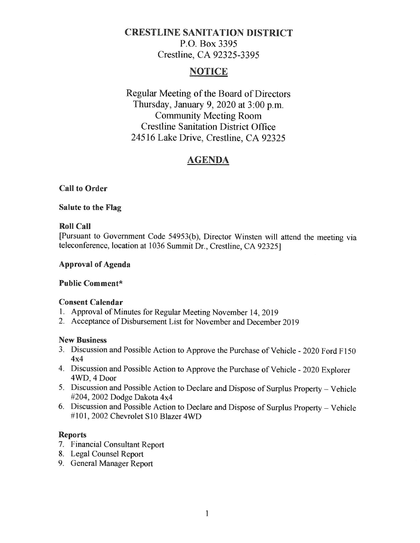# **CRESTLINE SANITATION DISTRICT**  P.O. Box 3395 Crestline, CA 92325-3395

## **NOTICE**

Regular Meeting of the Board of Directors Thursday, January 9, 2020 at 3:00 p.m. Community Meeting Room Crestline Sanitation District Office 24516 Lake Drive, Crestline, CA 92325

# **AGENDA**

## **Call to Order**

### **Salute to the Flag**

### **Roll Call**

[Pursuant to Government Code 54953(b ), Director Winsten will attend the meeting via teleconference, location at 1036 Summit Dr., Crestline, CA 92325]

### **Approval of Agenda**

## **Public Comment\***

#### **Consent Calendar**

- l. Approval of Minutes for Regular Meeting November 14, 2019
- 2. Acceptance of Disbursement List for November and December 2019

#### **New Business**

- 3. Discussion and Possible Action to Approve the Purchase of Vehicle 2020 Ford Fl50 4x4
- 4. Discussion and Possible Action to Approve the Purchase of Vehicle 2020 Explorer 4WD, 4Door
- 5. Discussion and Possible Action to Declare and Dispose of Surplus Property Vehicle #204, 2002 Dodge Dakota 4x4
- 6. Discussion and Possible Action to Declare and Dispose of Surplus Property Vehicle #101, 2002 Chevrolet S10 Blazer 4WD

#### **Reports**

- 7. Financial Consultant Report
- 8. Legal Counsel Report
- 9. General Manager Report